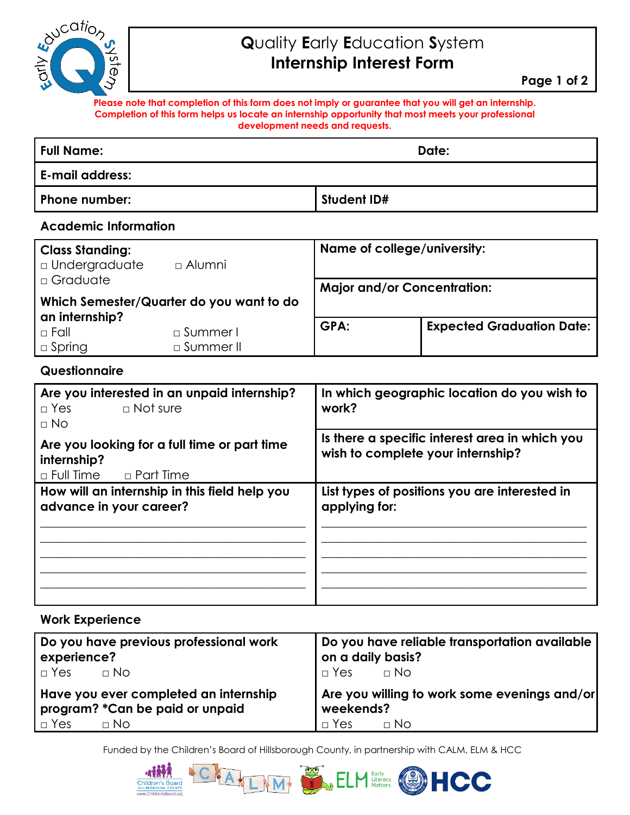# woucation **NSTE**

### **Q**uality **E**arly **E**ducation **S**ystem **Internship Interest Form**

**Please note that completion of this form does not imply or guarantee that you will get an internship. Completion of this form helps us locate an internship opportunity that most meets your professional development needs and requests.**

| <b>Full Name:</b>      | Date:       |  |
|------------------------|-------------|--|
| <b>E-mail address:</b> |             |  |
| Phone number:          | Student ID# |  |

#### **Academic Information**

| <b>Class Standing:</b><br><b>D</b> Undergraduate<br>$\Box$ Graduate | $\Box$ Alumni | Name of college/university:<br><b>Major and/or Concentration:</b> |                                  |
|---------------------------------------------------------------------|---------------|-------------------------------------------------------------------|----------------------------------|
| Which Semester/Quarter do you want to do                            |               |                                                                   |                                  |
| an internship?<br>$\Box$ Fall                                       | □ Summer I    | GPA:                                                              | <b>Expected Graduation Date:</b> |
| $\square$ Spring                                                    | □ Summer II   |                                                                   |                                  |

#### **Questionnaire**

| Are you interested in an unpaid internship?<br>$\Box$ Not sure<br>$\Box$ Yes<br>$\Box$ No        | In which geographic location do you wish to<br>work?                                |
|--------------------------------------------------------------------------------------------------|-------------------------------------------------------------------------------------|
| Are you looking for a full time or part time<br>internship?<br>$\sqcap$ Full Time<br>n Part Time | Is there a specific interest area in which you<br>wish to complete your internship? |
| How will an internship in this field help you<br>advance in your career?                         | List types of positions you are interested in<br>applying for:                      |

#### **Work Experience**

| Do you have previous professional work | Do you have reliable transportation available |
|----------------------------------------|-----------------------------------------------|
| experience?                            | on a daily basis?                             |
| $\Box$ Yes $\Box$ No                   | $\neg$ Yes $\neg$ No                          |
| Have you ever completed an internship  | Are you willing to work some evenings and/or  |
| program? * Can be paid or unpaid       | weekends?                                     |
| $\Box$ Yes                             | $\blacksquare$ T Yes                          |
| $\Box$ No                              | $\Box$ No                                     |

Funded by the Children's Board of Hillsborough County, in partnership with CALM, ELM & HCC